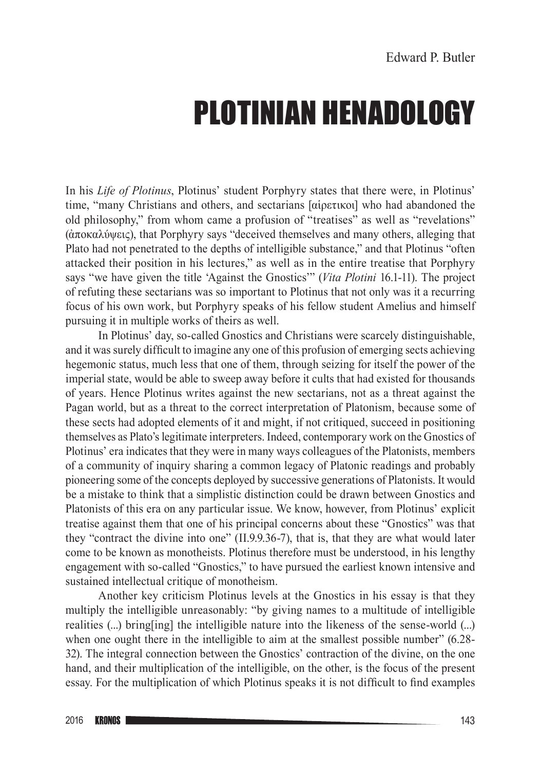## PLOTINIAN HENADOLOGY

In his *Life of Plotinus*, Plotinus' student Porphyry states that there were, in Plotinus' time, "many Christians and others, and sectarians [αἱρετικοι] who had abandoned the old philosophy," from whom came a profusion of "treatises" as well as "revelations" (ἀποκαλύψεις), that Porphyry says "deceived themselves and many others, alleging that Plato had not penetrated to the depths of intelligible substance," and that Plotinus "often attacked their position in his lectures," as well as in the entire treatise that Porphyry says "we have given the title 'Against the Gnostics'" (*Vita Plotini* 16.1-11). The project of refuting these sectarians was so important to Plotinus that not only was it a recurring focus of his own work, but Porphyry speaks of his fellow student Amelius and himself pursuing it in multiple works of theirs as well.

In Plotinus' day, so-called Gnostics and Christians were scarcely distinguishable, and it was surely difficult to imagine any one of this profusion of emerging sects achieving hegemonic status, much less that one of them, through seizing for itself the power of the imperial state, would be able to sweep away before it cults that had existed for thousands of years. Hence Plotinus writes against the new sectarians, not as a threat against the Pagan world, but as a threat to the correct interpretation of Platonism, because some of these sects had adopted elements of it and might, if not critiqued, succeed in positioning themselves as Plato's legitimate interpreters. Indeed, contemporary work on the Gnostics of Plotinus' era indicates that they were in many ways colleagues of the Platonists, members of a community of inquiry sharing a common legacy of Platonic readings and probably pioneering some of the concepts deployed by successive generations of Platonists. It would be a mistake to think that a simplistic distinction could be drawn between Gnostics and Platonists of this era on any particular issue. We know, however, from Plotinus' explicit treatise against them that one of his principal concerns about these "Gnostics" was that they "contract the divine into one" (II.9.9.36-7), that is, that they are what would later come to be known as monotheists. Plotinus therefore must be understood, in his lengthy engagement with so‑called "Gnostics," to have pursued the earliest known intensive and sustained intellectual critique of monotheism.

Another key criticism Plotinus levels at the Gnostics in his essay is that they multiply the intelligible unreasonably: "by giving names to a multitude of intelligible realities (...) bring[ing] the intelligible nature into the likeness of the sense-world (...) when one ought there in the intelligible to aim at the smallest possible number" (6.28-32). The integral connection between the Gnostics' contraction of the divine, on the one hand, and their multiplication of the intelligible, on the other, is the focus of the present essay. For the multiplication of which Plotinus speaks it is not difficult to find examples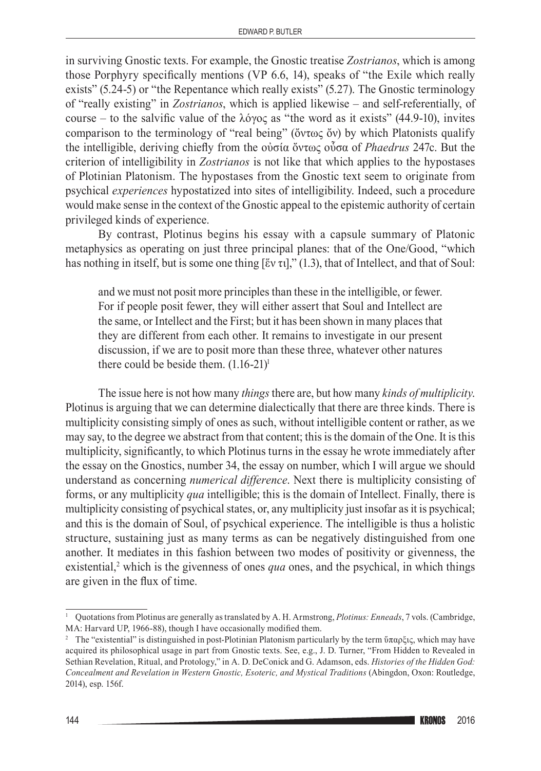in surviving Gnostic texts. For example, the Gnostic treatise *Zostrianos*, which is among those Porphyry specifically mentions (VP 6.6, 14), speaks of "the Exile which really exists" (5.24-5) or "the Repentance which really exists" (5.27). The Gnostic terminology of "really existing" in *Zostrianos*, which is applied likewise – and self‑referentially, of course – to the salvific value of the λόγος as "the word as it exists" (44.9-10), invites comparison to the terminology of "real being" (ὄντως ὄν) by which Platonists qualify the intelligible, deriving chiefly from the οὐσία ὄντως οὖσα of *Phaedrus* 247c. But the criterion of intelligibility in *Zostrianos* is not like that which applies to the hypostases of Plotinian Platonism. The hypostases from the Gnostic text seem to originate from psychical *experiences* hypostatized into sites of intelligibility. Indeed, such a procedure would make sense in the context of the Gnostic appeal to the epistemic authority of certain privileged kinds of experience.

By contrast, Plotinus begins his essay with a capsule summary of Platonic metaphysics as operating on just three principal planes: that of the One/Good, "which has nothing in itself, but is some one thing [ἕν τι]," (1.3), that of Intellect, and that of Soul:

and we must not posit more principles than these in the intelligible, or fewer. For if people posit fewer, they will either assert that Soul and Intellect are the same, or Intellect and the First; but it has been shown in many places that they are different from each other. It remains to investigate in our present discussion, if we are to posit more than these three, whatever other natures there could be beside them.  $(1.16-21)^1$ 

The issue here is not how many *things* there are, but how many *kinds of multiplicity*. Plotinus is arguing that we can determine dialectically that there are three kinds. There is multiplicity consisting simply of ones as such, without intelligible content or rather, as we may say, to the degree we abstract from that content; this is the domain of the One. It is this multiplicity, significantly, to which Plotinus turns in the essay he wrote immediately after the essay on the Gnostics, number 34, the essay on number, which I will argue we should understand as concerning *numerical difference*. Next there is multiplicity consisting of forms, or any multiplicity *qua* intelligible; this is the domain of Intellect. Finally, there is multiplicity consisting of psychical states, or, any multiplicity just insofar as it is psychical; and this is the domain of Soul, of psychical experience. The intelligible is thus a holistic structure, sustaining just as many terms as can be negatively distinguished from one another. It mediates in this fashion between two modes of positivity or givenness, the existential,<sup>2</sup> which is the givenness of ones *qua* ones, and the psychical, in which things are given in the flux of time.

<sup>1</sup> Quotations from Plotinus are generally as translated by A. H. Armstrong, *Plotinus: Enneads*, 7 vols. (Cambridge, MA: Harvard UP, 1966-88), though I have occasionally modified them.

<sup>&</sup>lt;sup>2</sup> The "existential" is distinguished in post-Plotinian Platonism particularly by the term ὕπαρξις, which may have acquired its philosophical usage in part from Gnostic texts. See, e.g., J. D. Turner, "From Hidden to Revealed in Sethian Revelation, Ritual, and Protology," in A. D. DeConick and G. Adamson, eds. *Histories of the Hidden God: Concealment and Revelation in Western Gnostic, Esoteric, and Mystical Traditions* (Abingdon, Oxon: Routledge, 2014), esp. 156f.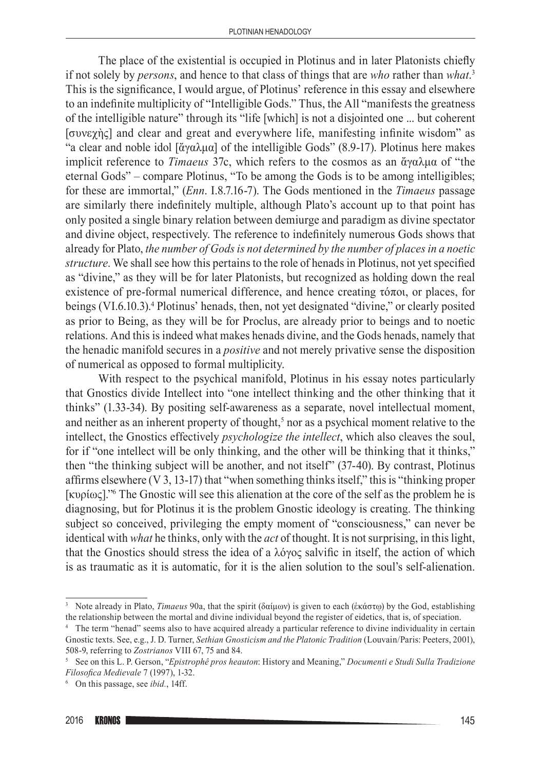The place of the existential is occupied in Plotinus and in later Platonists chiefly if not solely by *persons*, and hence to that class of things that are *who* rather than *what*. 3 This is the significance, I would argue, of Plotinus' reference in this essay and elsewhere to an indefinite multiplicity of "Intelligible Gods." Thus, the All "manifests the greatness of the intelligible nature" through its "life [which] is not a disjointed one ... but coherent [συνεχὴς] and clear and great and everywhere life, manifesting infinite wisdom" as "a clear and noble idol [ἄγαλμα] of the intelligible Gods" (8.9-17). Plotinus here makes implicit reference to *Timaeus* 37c, which refers to the cosmos as an ἄγαλμα of "the eternal Gods" – compare Plotinus, "To be among the Gods is to be among intelligibles; for these are immortal," (*Enn*. I.8.7.16-7). The Gods mentioned in the *Timaeus* passage are similarly there indefinitely multiple, although Plato's account up to that point has only posited a single binary relation between demiurge and paradigm as divine spectator and divine object, respectively. The reference to indefinitely numerous Gods shows that already for Plato, *the number of Gods is not determined by the number of places in a noetic structure*. We shall see how this pertains to the role of henads in Plotinus, not yet specified as "divine," as they will be for later Platonists, but recognized as holding down the real existence of pre‑formal numerical difference, and hence creating τόποι, or places, for beings (VI.6.10.3).<sup>4</sup> Plotinus' henads, then, not yet designated "divine," or clearly posited as prior to Being, as they will be for Proclus, are already prior to beings and to noetic relations. And this is indeed what makes henads divine, and the Gods henads, namely that the henadic manifold secures in a *positive* and not merely privative sense the disposition of numerical as opposed to formal multiplicity.

With respect to the psychical manifold, Plotinus in his essay notes particularly that Gnostics divide Intellect into "one intellect thinking and the other thinking that it thinks" (1.33-34). By positing self‑awareness as a separate, novel intellectual moment, and neither as an inherent property of thought,<sup>5</sup> nor as a psychical moment relative to the intellect, the Gnostics effectively *psychologize the intellect*, which also cleaves the soul, for if "one intellect will be only thinking, and the other will be thinking that it thinks," then "the thinking subject will be another, and not itself" (37-40). By contrast, Plotinus affirms elsewhere (V 3, 13-17) that "when something thinks itself," this is "thinking proper [κυρίως]."<sup>6</sup> The Gnostic will see this alienation at the core of the self as the problem he is diagnosing, but for Plotinus it is the problem Gnostic ideology is creating. The thinking subject so conceived, privileging the empty moment of "consciousness," can never be identical with *what* he thinks, only with the *act* of thought. It is not surprising, in this light, that the Gnostics should stress the idea of a λόγος salvific in itself, the action of which is as traumatic as it is automatic, for it is the alien solution to the soul's self-alienation.

<sup>&</sup>lt;sup>3</sup> Note already in Plato, *Timaeus* 90a, that the spirit (δαίμων) is given to each (ἐκάστῳ) by the God, establishing the relationship between the mortal and divine individual beyond the register of eidetics, that is, of speciation.

<sup>4</sup> The term "henad" seems also to have acquired already a particular reference to divine individuality in certain Gnostic texts. See, e.g., J. D. Turner, *Sethian Gnosticism and the Platonic Tradition* (Louvain/Paris: Peeters, 2001), 508-9, referring to *Zostrianos* VIII 67, 75 and 84.<br><sup>5</sup> See on this L. P. Gerson, "*Epistrophê pros heauton*: History and Meaning," *Documenti e Studi Sulla Tradizione* 

*Filosofica Medievale* 7 (1997), 1-32.

<sup>6</sup> On this passage, see *ibid.*, 14ff.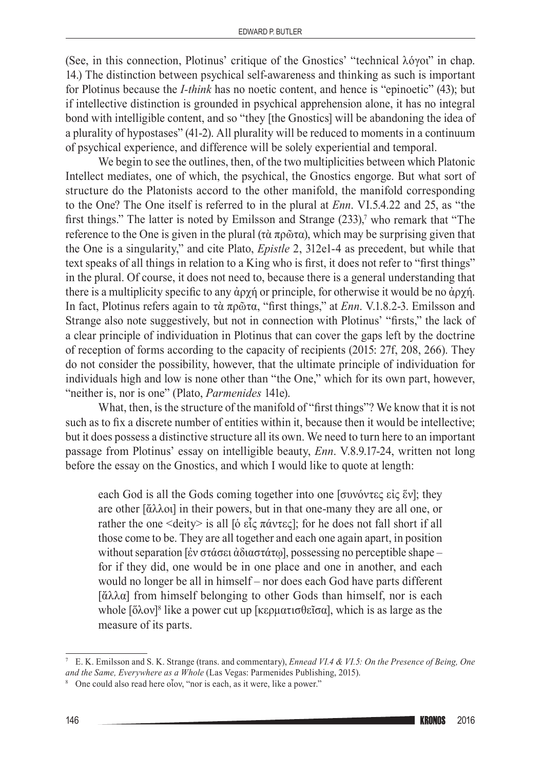(See, in this connection, Plotinus' critique of the Gnostics' "technical λόγοι" in chap. 14.) The distinction between psychical self‑awareness and thinking as such is important for Plotinus because the *I<sup>-think*</sup> has no noetic content, and hence is "epinoetic" (43); but if intellective distinction is grounded in psychical apprehension alone, it has no integral bond with intelligible content, and so "they [the Gnostics] will be abandoning the idea of a plurality of hypostases" (41-2). All plurality will be reduced to moments in a continuum of psychical experience, and difference will be solely experiential and temporal.

We begin to see the outlines, then, of the two multiplicities between which Platonic Intellect mediates, one of which, the psychical, the Gnostics engorge. But what sort of structure do the Platonists accord to the other manifold, the manifold corresponding to the One? The One itself is referred to in the plural at *Enn*. VI.5.4.22 and 25, as "the first things." The latter is noted by Emilsson and Strange (233),<sup>7</sup> who remark that "The reference to the One is given in the plural (τὰ πρῶτα), which may be surprising given that the One is a singularity," and cite Plato, *Epistle* 2, 312e1-4 as precedent, but while that text speaks of all things in relation to a King who is first, it does not refer to "first things" in the plural. Of course, it does not need to, because there is a general understanding that there is a multiplicity specific to any ἀρχή or principle, for otherwise it would be no ἀρχή. In fact, Plotinus refers again to τὰ πρῶτα, "first things," at *Enn*. V.1.8.2-3. Emilsson and Strange also note suggestively, but not in connection with Plotinus' "firsts," the lack of a clear principle of individuation in Plotinus that can cover the gaps left by the doctrine of reception of forms according to the capacity of recipients (2015: 27f, 208, 266). They do not consider the possibility, however, that the ultimate principle of individuation for individuals high and low is none other than "the One," which for its own part, however, "neither is, nor is one" (Plato, *Parmenides* 141e).

What, then, is the structure of the manifold of "first things"? We know that it is not such as to fix a discrete number of entities within it, because then it would be intellective; but it does possess a distinctive structure all its own. We need to turn here to an important passage from Plotinus' essay on intelligible beauty, *Enn*. V.8.9.17-24, written not long before the essay on the Gnostics, and which I would like to quote at length:

each God is all the Gods coming together into one [συνόντες εἰς ἕν]; they are other [ἄλλοι] in their powers, but in that one‑many they are all one, or rather the one <deity> is all [ο εἶς πάντες]; for he does not fall short if all those come to be. They are all together and each one again apart, in position without separation [ἐν στάσει ἀδιαστάτω], possessing no perceptible shape – for if they did, one would be in one place and one in another, and each would no longer be all in himself – nor does each God have parts different [ἄλλα] from himself belonging to other Gods than himself, nor is each whole [ὅλον]<sup>8</sup> like a power cut up [κερματισθεῖσα], which is as large as the measure of its parts.

<sup>7</sup> E. K. Emilsson and S. K. Strange (trans. and commentary), *Ennead VI.4 & VI.5: On the Presence of Being, One and the Same, Everywhere as a Whole* (Las Vegas: Parmenides Publishing, 2015).

<sup>8</sup> One could also read here οἷον, "nor is each, as it were, like a power."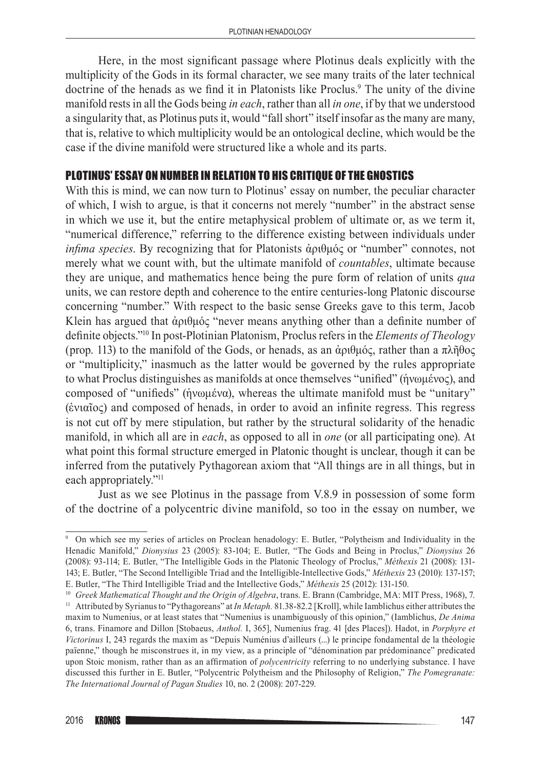Here, in the most significant passage where Plotinus deals explicitly with the multiplicity of the Gods in its formal character, we see many traits of the later technical doctrine of the henads as we find it in Platonists like Proclus.<sup>9</sup> The unity of the divine manifold rests in all the Gods being *in each*, rather than all *in one*, if by that we understood a singularity that, as Plotinus puts it, would "fall short" itself insofar as the many are many, that is, relative to which multiplicity would be an ontological decline, which would be the case if the divine manifold were structured like a whole and its parts.

## PLOTINUS' ESSAY ON NUMBER IN RELATION TO HIS CRITIQUE OF THE GNOSTICS

With this is mind, we can now turn to Plotinus' essay on number, the peculiar character of which, I wish to argue, is that it concerns not merely "number" in the abstract sense in which we use it, but the entire metaphysical problem of ultimate or, as we term it, "numerical difference," referring to the difference existing between individuals under *infima species*. By recognizing that for Platonists ἀριθμός or "number" connotes, not merely what we count with, but the ultimate manifold of *countables*, ultimate because they are unique, and mathematics hence being the pure form of relation of units *qua* units, we can restore depth and coherence to the entire centuries‑long Platonic discourse concerning "number." With respect to the basic sense Greeks gave to this term, Jacob Klein has argued that ἀριθμός "never means anything other than a definite number of definite objects."<sup>10</sup> In post‑Plotinian Platonism, Proclus refers in the *Elements of Theology* (prop. 113) to the manifold of the Gods, or henads, as an ἀριθμός, rather than a πλῆθος or "multiplicity," inasmuch as the latter would be governed by the rules appropriate to what Proclus distinguishes as manifolds at once themselves "unified" (ἡνωμένος), and composed of "unifieds" (ἡνωμένα), whereas the ultimate manifold must be "unitary" (ἑνιαῖος) and composed of henads, in order to avoid an infinite regress. This regress is not cut off by mere stipulation, but rather by the structural solidarity of the henadic manifold, in which all are in *each*, as opposed to all in *one* (or all participating one). At what point this formal structure emerged in Platonic thought is unclear, though it can be inferred from the putatively Pythagorean axiom that "All things are in all things, but in each appropriately."<sup>11</sup>

Just as we see Plotinus in the passage from V.8.9 in possession of some form of the doctrine of a polycentric divine manifold, so too in the essay on number, we

<sup>9</sup> On which see my series of articles on Proclean henadology: E. Butler, "Polytheism and Individuality in the Henadic Manifold," *Dionysius* 23 (2005): 83-104; E. Butler, "The Gods and Being in Proclus," *Dionysius* 26 (2008): 93-114; E. Butler, "The Intelligible Gods in the Platonic Theology of Proclus," *Méthexis* 21 (2008): 131-143; E. Butler, "The Second Intelligible Triad and the Intelligible‑Intellective Gods," *Méthexis* 23 (2010): 137-157; E. Butler, "The Third Intelligible Triad and the Intellective Gods," *Méthexis* 25 (2012): 131-150.

<sup>10</sup> *Greek Mathematical Thought and the Origin of Algebra*, trans. E. Brann (Cambridge, MA: MIT Press, 1968), 7.

<sup>11</sup> Attributed by Syrianus to "Pythagoreans" at *In Metaph.* 81.38-82.2 [Kroll], while Iamblichus either attributes the maxim to Numenius, or at least states that "Numenius is unambiguously of this opinion," (Iamblichus, *De Anima* 6, trans. Finamore and Dillon [Stobaeus, *Anthol.* I, 365], Numenius frag. 41 [des Places]). Hadot, in *Porphyre et Victorinus* I, 243 regards the maxim as "Depuis Numénius d'ailleurs (...) le principe fondamental de la théologie païenne," though he misconstrues it, in my view, as a principle of "dénomination par prédominance" predicated upon Stoic monism, rather than as an affirmation of *polycentricity* referring to no underlying substance. I have discussed this further in E. Butler, "Polycentric Polytheism and the Philosophy of Religion," *The Pomegranate: The International Journal of Pagan Studies* 10, no. 2 (2008): 207-229.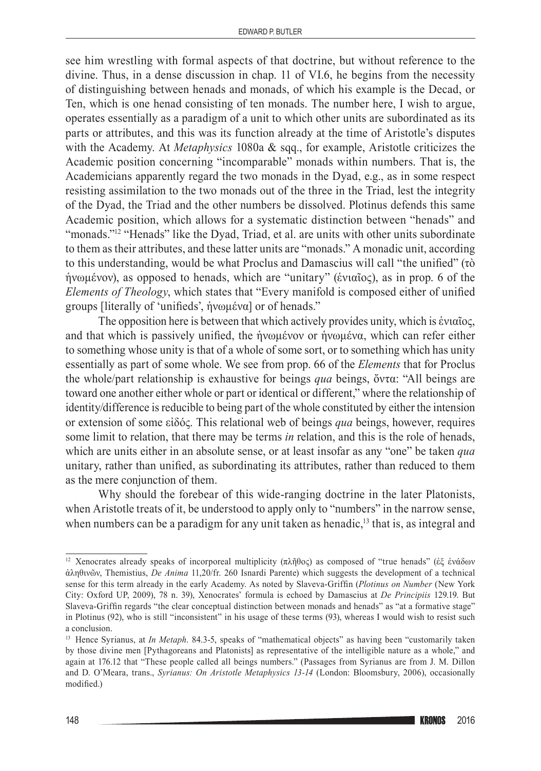see him wrestling with formal aspects of that doctrine, but without reference to the divine. Thus, in a dense discussion in chap. 11 of VI.6, he begins from the necessity of distinguishing between henads and monads, of which his example is the Decad, or Ten, which is one henad consisting of ten monads. The number here, I wish to argue, operates essentially as a paradigm of a unit to which other units are subordinated as its parts or attributes, and this was its function already at the time of Aristotle's disputes with the Academy. At *Metaphysics* 1080a & sqq., for example, Aristotle criticizes the Academic position concerning "incomparable" monads within numbers. That is, the Academicians apparently regard the two monads in the Dyad, e.g., as in some respect resisting assimilation to the two monads out of the three in the Triad, lest the integrity of the Dyad, the Triad and the other numbers be dissolved. Plotinus defends this same Academic position, which allows for a systematic distinction between "henads" and "monads."12 "Henads" like the Dyad, Triad, et al. are units with other units subordinate to them as their attributes, and these latter units are "monads." A monadic unit, according to this understanding, would be what Proclus and Damascius will call "the unified" (τὸ ἡνωμένον), as opposed to henads, which are "unitary" (ἑνιαῖος), as in prop. 6 of the *Elements of Theology*, which states that "Every manifold is composed either of unified groups [literally of 'unifieds', ἡνωμένα] or of henads."

The opposition here is between that which actively provides unity, which is ἑνιαῖος, and that which is passively unified, the ἡνωμένον or ἡνωμένα, which can refer either to something whose unity is that of a whole of some sort, or to something which has unity essentially as part of some whole. We see from prop. 66 of the *Elements* that for Proclus the whole/part relationship is exhaustive for beings *qua* beings, ὄντα: "All beings are toward one another either whole or part or identical or different," where the relationship of identity/difference is reducible to being part of the whole constituted by either the intension or extension of some εἰδός. This relational web of beings *qua* beings, however, requires some limit to relation, that there may be terms *in* relation, and this is the role of henads, which are units either in an absolute sense, or at least insofar as any "one" be taken *qua* unitary, rather than unified, as subordinating its attributes, rather than reduced to them as the mere conjunction of them.

Why should the forebear of this wide-ranging doctrine in the later Platonists, when Aristotle treats of it, be understood to apply only to "numbers" in the narrow sense, when numbers can be a paradigm for any unit taken as henadic,<sup>13</sup> that is, as integral and

<sup>&</sup>lt;sup>12</sup> Xenocrates already speaks of incorporeal multiplicity (πλῆθος) as composed of "true henads" (ἐξ ἐνάδων ἀληθινῶν, Themistius, *De Anima* 11,20/fr. 260 Isnardi Parente) which suggests the development of a technical sense for this term already in the early Academy. As noted by Slaveva-Griffin (*Plotinus on Number* (New York City: Oxford UP, 2009), 78 n. 39), Xenocrates' formula is echoed by Damascius at *De Principiis* 129.19. But Slaveva‑Griffin regards "the clear conceptual distinction between monads and henads" as "at a formative stage" in Plotinus (92), who is still "inconsistent" in his usage of these terms (93), whereas I would wish to resist such a conclusion.

<sup>&</sup>lt;sup>13</sup> Hence Syrianus, at *In Metaph.* 84.3-5, speaks of "mathematical objects" as having been "customarily taken by those divine men [Pythagoreans and Platonists] as representative of the intelligible nature as a whole," and again at 176.12 that "These people called all beings numbers." (Passages from Syrianus are from J. M. Dillon and D. O'Meara, trans., *Syrianus: On Aristotle Metaphysics 13-14* (London: Bloomsbury, 2006), occasionally modified.)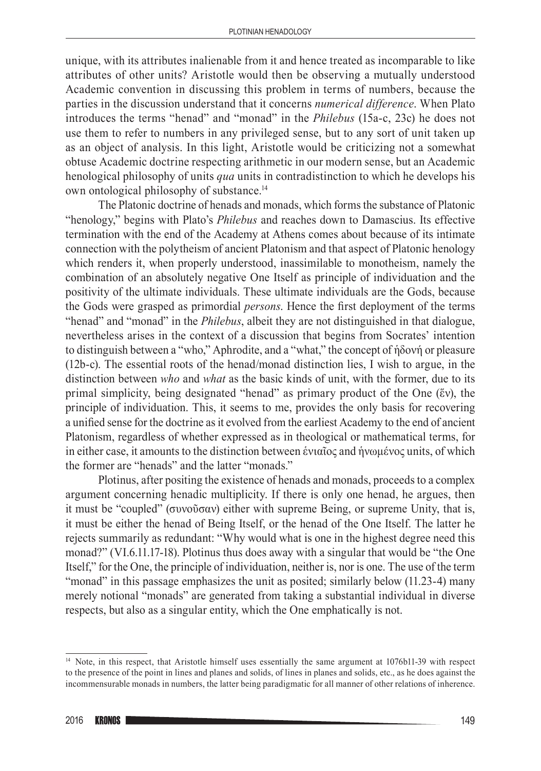unique, with its attributes inalienable from it and hence treated as incomparable to like attributes of other units? Aristotle would then be observing a mutually understood Academic convention in discussing this problem in terms of numbers, because the parties in the discussion understand that it concerns *numerical difference*. When Plato introduces the terms "henad" and "monad" in the *Philebus* (15a-c, 23c) he does not use them to refer to numbers in any privileged sense, but to any sort of unit taken up as an object of analysis. In this light, Aristotle would be criticizing not a somewhat obtuse Academic doctrine respecting arithmetic in our modern sense, but an Academic henological philosophy of units *qua* units in contradistinction to which he develops his own ontological philosophy of substance.14

The Platonic doctrine of henads and monads, which forms the substance of Platonic "henology," begins with Plato's *Philebus* and reaches down to Damascius. Its effective termination with the end of the Academy at Athens comes about because of its intimate connection with the polytheism of ancient Platonism and that aspect of Platonic henology which renders it, when properly understood, inassimilable to monotheism, namely the combination of an absolutely negative One Itself as principle of individuation and the positivity of the ultimate individuals. These ultimate individuals are the Gods, because the Gods were grasped as primordial *persons*. Hence the first deployment of the terms "henad" and "monad" in the *Philebus*, albeit they are not distinguished in that dialogue, nevertheless arises in the context of a discussion that begins from Socrates' intention to distinguish between a "who," Aphrodite, and a "what," the concept of ἡδονή or pleasure  $(12b-c)$ . The essential roots of the henad/monad distinction lies. I wish to argue, in the distinction between *who* and *what* as the basic kinds of unit, with the former, due to its primal simplicity, being designated "henad" as primary product of the One (ἕν), the principle of individuation. This, it seems to me, provides the only basis for recovering a unified sense for the doctrine as it evolved from the earliest Academy to the end of ancient Platonism, regardless of whether expressed as in theological or mathematical terms, for in either case, it amounts to the distinction between ἑνιαῖος and ἡνωμένος units, of which the former are "henads" and the latter "monads."

Plotinus, after positing the existence of henads and monads, proceeds to a complex argument concerning henadic multiplicity. If there is only one henad, he argues, then it must be "coupled" (συνοῦσαν) either with supreme Being, or supreme Unity, that is, it must be either the henad of Being Itself, or the henad of the One Itself. The latter he rejects summarily as redundant: "Why would what is one in the highest degree need this monad?" (VI.6.11.17-18). Plotinus thus does away with a singular that would be "the One Itself," for the One, the principle of individuation, neither is, nor is one. The use of the term "monad" in this passage emphasizes the unit as posited; similarly below (11.23-4) many merely notional "monads" are generated from taking a substantial individual in diverse respects, but also as a singular entity, which the One emphatically is not.

<sup>&</sup>lt;sup>14</sup> Note, in this respect, that Aristotle himself uses essentially the same argument at 1076b11-39 with respect to the presence of the point in lines and planes and solids, of lines in planes and solids, etc., as he does against the incommensurable monads in numbers, the latter being paradigmatic for all manner of other relations of inherence.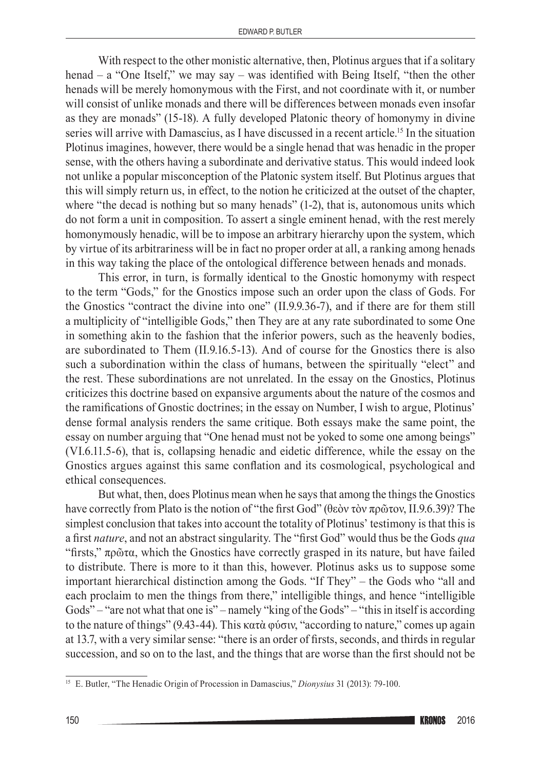With respect to the other monistic alternative, then, Plotinus argues that if a solitary henad – a "One Itself," we may say – was identified with Being Itself, "then the other henads will be merely homonymous with the First, and not coordinate with it, or number will consist of unlike monads and there will be differences between monads even insofar as they are monads" (15-18). A fully developed Platonic theory of homonymy in divine series will arrive with Damascius, as I have discussed in a recent article.<sup>15</sup> In the situation Plotinus imagines, however, there would be a single henad that was henadic in the proper sense, with the others having a subordinate and derivative status. This would indeed look not unlike a popular misconception of the Platonic system itself. But Plotinus argues that this will simply return us, in effect, to the notion he criticized at the outset of the chapter, where "the decad is nothing but so many henads" (1-2), that is, autonomous units which do not form a unit in composition. To assert a single eminent henad, with the rest merely homonymously henadic, will be to impose an arbitrary hierarchy upon the system, which by virtue of its arbitrariness will be in fact no proper order at all, a ranking among henads in this way taking the place of the ontological difference between henads and monads.

This error, in turn, is formally identical to the Gnostic homonymy with respect to the term "Gods," for the Gnostics impose such an order upon the class of Gods. For the Gnostics "contract the divine into one" (II.9.9.36-7), and if there are for them still a multiplicity of "intelligible Gods," then They are at any rate subordinated to some One in something akin to the fashion that the inferior powers, such as the heavenly bodies, are subordinated to Them (II.9.16.5-13). And of course for the Gnostics there is also such a subordination within the class of humans, between the spiritually "elect" and the rest. These subordinations are not unrelated. In the essay on the Gnostics, Plotinus criticizes this doctrine based on expansive arguments about the nature of the cosmos and the ramifications of Gnostic doctrines; in the essay on Number, I wish to argue, Plotinus' dense formal analysis renders the same critique. Both essays make the same point, the essay on number arguing that "One henad must not be yoked to some one among beings" (VI.6.11.5-6), that is, collapsing henadic and eidetic difference, while the essay on the Gnostics argues against this same conflation and its cosmological, psychological and ethical consequences.

But what, then, does Plotinus mean when he says that among the things the Gnostics have correctly from Plato is the notion of "the first God" (θεὸν τὸν πρῶτον, II.9.6.39)? The simplest conclusion that takes into account the totality of Plotinus' testimony is that this is a first *nature*, and not an abstract singularity. The "first God" would thus be the Gods *qua* "firsts," πρῶτα, which the Gnostics have correctly grasped in its nature, but have failed to distribute. There is more to it than this, however. Plotinus asks us to suppose some important hierarchical distinction among the Gods. "If They" – the Gods who "all and each proclaim to men the things from there," intelligible things, and hence "intelligible Gods" – "are not what that one is" – namely "king of the Gods" – "this in itself is according to the nature of things" (9.43-44). This κατὰ φύσιν, "according to nature," comes up again at 13.7, with a very similar sense: "there is an order of firsts, seconds, and thirds in regular succession, and so on to the last, and the things that are worse than the first should not be

<sup>15</sup> E. Butler, "The Henadic Origin of Procession in Damascius," *Dionysius* 31 (2013): 79-100.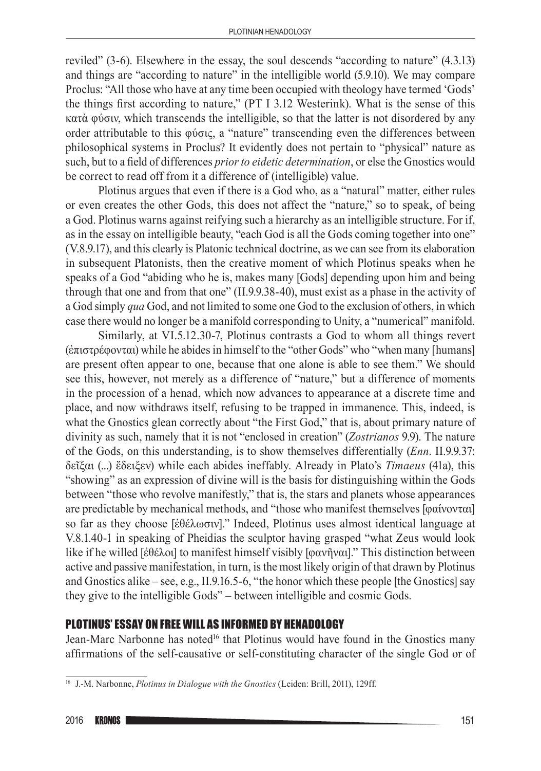reviled" (3-6). Elsewhere in the essay, the soul descends "according to nature" (4.3.13) and things are "according to nature" in the intelligible world (5.9.10). We may compare Proclus: "All those who have at any time been occupied with theology have termed 'Gods' the things first according to nature," (PT I 3.12 Westerink). What is the sense of this κατὰ φύσιν, which transcends the intelligible, so that the latter is not disordered by any order attributable to this φύσις, a "nature" transcending even the differences between philosophical systems in Proclus? It evidently does not pertain to "physical" nature as such, but to a field of differences *prior to eidetic determination*, or else the Gnostics would be correct to read off from it a difference of (intelligible) value.

Plotinus argues that even if there is a God who, as a "natural" matter, either rules or even creates the other Gods, this does not affect the "nature," so to speak, of being a God. Plotinus warns against reifying such a hierarchy as an intelligible structure. For if, as in the essay on intelligible beauty, "each God is all the Gods coming together into one" (V.8.9.17), and this clearly is Platonic technical doctrine, as we can see from its elaboration in subsequent Platonists, then the creative moment of which Plotinus speaks when he speaks of a God "abiding who he is, makes many [Gods] depending upon him and being through that one and from that one" (II.9.9.38-40), must exist as a phase in the activity of a God simply *qua* God, and not limited to some one God to the exclusion of others, in which case there would no longer be a manifold corresponding to Unity, a "numerical" manifold.

Similarly, at VI.5.12.30-7, Plotinus contrasts a God to whom all things revert (ἐπιστρέφονται) while he abides in himself to the "other Gods" who "when many [humans] are present often appear to one, because that one alone is able to see them." We should see this, however, not merely as a difference of "nature," but a difference of moments in the procession of a henad, which now advances to appearance at a discrete time and place, and now withdraws itself, refusing to be trapped in immanence. This, indeed, is what the Gnostics glean correctly about "the First God," that is, about primary nature of divinity as such, namely that it is not "enclosed in creation" (*Zostrianos* 9.9). The nature of the Gods, on this understanding, is to show themselves differentially (*Enn*. II.9.9.37: δεῖξαι (...) ἔδειξεν) while each abides ineffably. Already in Plato's *Timaeus* (41a), this "showing" as an expression of divine will is the basis for distinguishing within the Gods between "those who revolve manifestly," that is, the stars and planets whose appearances are predictable by mechanical methods, and "those who manifest themselves [φαίνονται] so far as they choose [ἐθέλωσιν]." Indeed, Plotinus uses almost identical language at V.8.1.40-1 in speaking of Pheidias the sculptor having grasped "what Zeus would look like if he willed [ἐθέλοι] to manifest himself visibly [φανῆναι]." This distinction between active and passive manifestation, in turn, is the most likely origin of that drawn by Plotinus and Gnostics alike – see, e.g., II.9.16.5-6, "the honor which these people [the Gnostics] say they give to the intelligible Gods" – between intelligible and cosmic Gods.

## PLOTINUS' ESSAY ON FREE WILL AS INFORMED BY HENADOLOGY

Jean-Marc Narbonne has noted<sup>16</sup> that Plotinus would have found in the Gnostics many affirmations of the self‑causative or self‑constituting character of the single God or of

<sup>16</sup> J.-M. Narbonne, *Plotinus in Dialogue with the Gnostics* (Leiden: Brill, 2011), 129ff.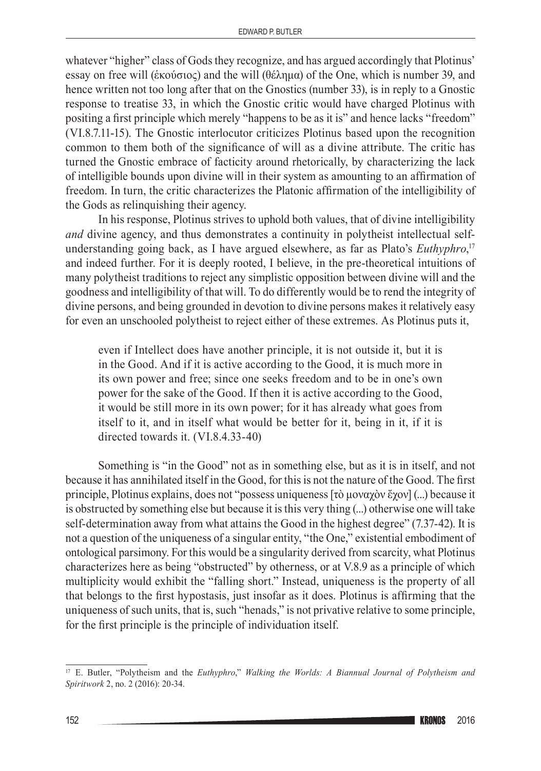whatever "higher" class of Gods they recognize, and has argued accordingly that Plotinus' essay on free will (ἑκούσιος) and the will (θέλημα) of the One, which is number 39, and hence written not too long after that on the Gnostics (number 33), is in reply to a Gnostic response to treatise 33, in which the Gnostic critic would have charged Plotinus with positing a first principle which merely "happens to be as it is" and hence lacks "freedom" (VI.8.7.11-15). The Gnostic interlocutor criticizes Plotinus based upon the recognition common to them both of the significance of will as a divine attribute. The critic has turned the Gnostic embrace of facticity around rhetorically, by characterizing the lack of intelligible bounds upon divine will in their system as amounting to an affirmation of freedom. In turn, the critic characterizes the Platonic affirmation of the intelligibility of the Gods as relinquishing their agency.

In his response, Plotinus strives to uphold both values, that of divine intelligibility *and* divine agency, and thus demonstrates a continuity in polytheist intellectual selfunderstanding going back, as I have argued elsewhere, as far as Plato's *Euthyphro*, 17 and indeed further. For it is deeply rooted, I believe, in the pre-theoretical intuitions of many polytheist traditions to reject any simplistic opposition between divine will and the goodness and intelligibility of that will. To do differently would be to rend the integrity of divine persons, and being grounded in devotion to divine persons makes it relatively easy for even an unschooled polytheist to reject either of these extremes. As Plotinus puts it,

even if Intellect does have another principle, it is not outside it, but it is in the Good. And if it is active according to the Good, it is much more in its own power and free; since one seeks freedom and to be in one's own power for the sake of the Good. If then it is active according to the Good, it would be still more in its own power; for it has already what goes from itself to it, and in itself what would be better for it, being in it, if it is directed towards it. (VI.8.4.33-40)

Something is "in the Good" not as in something else, but as it is in itself, and not because it has annihilated itself in the Good, for this is not the nature of the Good. The first principle, Plotinus explains, does not "possess uniqueness [τὸ μοναχὸν ἔχον] (...) because it is obstructed by something else but because it is this very thing (...) otherwise one will take self-determination away from what attains the Good in the highest degree" (7.37-42). It is not a question of the uniqueness of a singular entity, "the One," existential embodiment of ontological parsimony. For this would be a singularity derived from scarcity, what Plotinus characterizes here as being "obstructed" by otherness, or at V.8.9 as a principle of which multiplicity would exhibit the "falling short." Instead, uniqueness is the property of all that belongs to the first hypostasis, just insofar as it does. Plotinus is affirming that the uniqueness of such units, that is, such "henads," is not privative relative to some principle, for the first principle is the principle of individuation itself.

<sup>17</sup> E. Butler, "Polytheism and the *Euthyphro*," *Walking the Worlds: A Biannual Journal of Polytheism and Spiritwork* 2, no. 2 (2016): 20-34.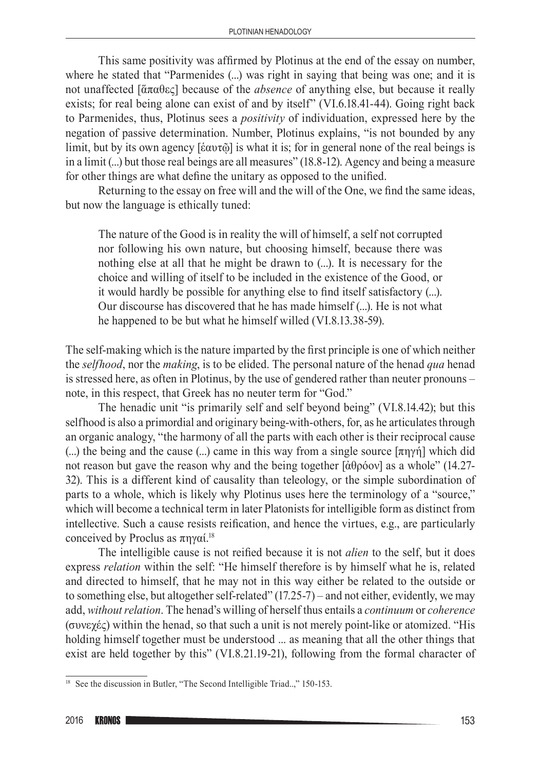This same positivity was affirmed by Plotinus at the end of the essay on number, where he stated that "Parmenides (...) was right in saying that being was one; and it is not unaffected [ἅπαθες] because of the *absence* of anything else, but because it really exists; for real being alone can exist of and by itself" (VI.6.18.41-44). Going right back to Parmenides, thus, Plotinus sees a *positivity* of individuation, expressed here by the negation of passive determination. Number, Plotinus explains, "is not bounded by any limit, but by its own agency [ἑαυτῷ] is what it is; for in general none of the real beings is in a limit (...) but those real beings are all measures" (18.8-12). Agency and being a measure for other things are what define the unitary as opposed to the unified.

Returning to the essay on free will and the will of the One, we find the same ideas, but now the language is ethically tuned:

The nature of the Good is in reality the will of himself, a self not corrupted nor following his own nature, but choosing himself, because there was nothing else at all that he might be drawn to (...). It is necessary for the choice and willing of itself to be included in the existence of the Good, or it would hardly be possible for anything else to find itself satisfactory (...). Our discourse has discovered that he has made himself (...). He is not what he happened to be but what he himself willed (VI.8.13.38-59).

The self‑making which is the nature imparted by the first principle is one of which neither the *selfhood*, nor the *making*, is to be elided. The personal nature of the henad *qua* henad is stressed here, as often in Plotinus, by the use of gendered rather than neuter pronouns – note, in this respect, that Greek has no neuter term for "God."

The henadic unit "is primarily self and self beyond being" (VI.8.14.42); but this selfhood is also a primordial and originary being–with–others, for, as he articulates through an organic analogy, "the harmony of all the parts with each other is their reciprocal cause (...) the being and the cause (...) came in this way from a single source [πηγή] which did not reason but gave the reason why and the being together [ἀθρόον] as a whole" (14.27-32). This is a different kind of causality than teleology, or the simple subordination of parts to a whole, which is likely why Plotinus uses here the terminology of a "source," which will become a technical term in later Platonists for intelligible form as distinct from intellective. Such a cause resists reification, and hence the virtues, e.g., are particularly conceived by Proclus as  $πηγαί.<sup>18</sup>$ 

The intelligible cause is not reified because it is not *alien* to the self, but it does express *relation* within the self: "He himself therefore is by himself what he is, related and directed to himself, that he may not in this way either be related to the outside or to something else, but altogether self-related"  $(17.25-7)$  – and not either, evidently, we may add, *without relation*. The henad's willing of herself thus entails a *continuum* or *coherence* (συνεχές) within the henad, so that such a unit is not merely point-like or atomized. "His holding himself together must be understood ... as meaning that all the other things that exist are held together by this" (VI.8.21.19-21), following from the formal character of

<sup>&</sup>lt;sup>18</sup> See the discussion in Butler, "The Second Intelligible Triad..," 150-153.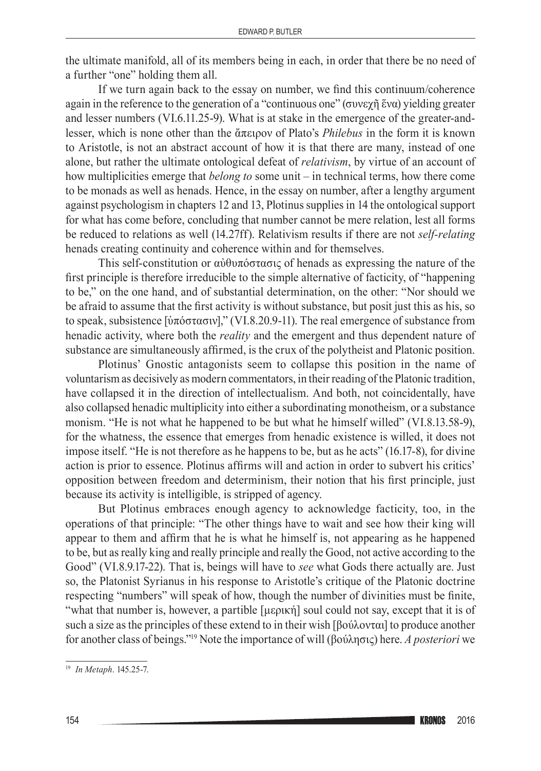the ultimate manifold, all of its members being in each, in order that there be no need of a further "one" holding them all.

If we turn again back to the essay on number, we find this continuum/coherence again in the reference to the generation of a "continuous one" (συνεχῆ ἕνα) yielding greater and lesser numbers (VI.6.11.25-9). What is at stake in the emergence of the greater-andlesser, which is none other than the ἄπειρον of Plato's *Philebus* in the form it is known to Aristotle, is not an abstract account of how it is that there are many, instead of one alone, but rather the ultimate ontological defeat of *relativism*, by virtue of an account of how multiplicities emerge that *belong to* some unit – in technical terms, how there come to be monads as well as henads. Hence, in the essay on number, after a lengthy argument against psychologism in chapters 12 and 13, Plotinus supplies in 14 the ontological support for what has come before, concluding that number cannot be mere relation, lest all forms be reduced to relations as well (14.27ff). Relativism results if there are not *self-relating* henads creating continuity and coherence within and for themselves.

This self-constitution or αὐθυπόστασις of henads as expressing the nature of the first principle is therefore irreducible to the simple alternative of facticity, of "happening to be," on the one hand, and of substantial determination, on the other: "Nor should we be afraid to assume that the first activity is without substance, but posit just this as his, so to speak, subsistence [ὑπόστασιν]," (VI.8.20.9-11). The real emergence of substance from henadic activity, where both the *reality* and the emergent and thus dependent nature of substance are simultaneously affirmed, is the crux of the polytheist and Platonic position.

Plotinus' Gnostic antagonists seem to collapse this position in the name of voluntarism as decisively as modern commentators, in their reading of the Platonic tradition, have collapsed it in the direction of intellectualism. And both, not coincidentally, have also collapsed henadic multiplicity into either a subordinating monotheism, or a substance monism. "He is not what he happened to be but what he himself willed" (VI.8.13.58-9), for the whatness, the essence that emerges from henadic existence is willed, it does not impose itself. "He is not therefore as he happens to be, but as he acts" (16.17-8), for divine action is prior to essence. Plotinus affirms will and action in order to subvert his critics' opposition between freedom and determinism, their notion that his first principle, just because its activity is intelligible, is stripped of agency.

But Plotinus embraces enough agency to acknowledge facticity, too, in the operations of that principle: "The other things have to wait and see how their king will appear to them and affirm that he is what he himself is, not appearing as he happened to be, but as really king and really principle and really the Good, not active according to the Good" (VI.8.9.17-22). That is, beings will have to *see* what Gods there actually are. Just so, the Platonist Syrianus in his response to Aristotle's critique of the Platonic doctrine respecting "numbers" will speak of how, though the number of divinities must be finite, "what that number is, however, a partible [μερική] soul could not say, except that it is of such a size as the principles of these extend to in their wish [βούλονται] to produce another for another class of beings."19 Note the importance of will (βούλησις) here. *A posteriori* we

<sup>19</sup> *In Metaph*. 145.25-7.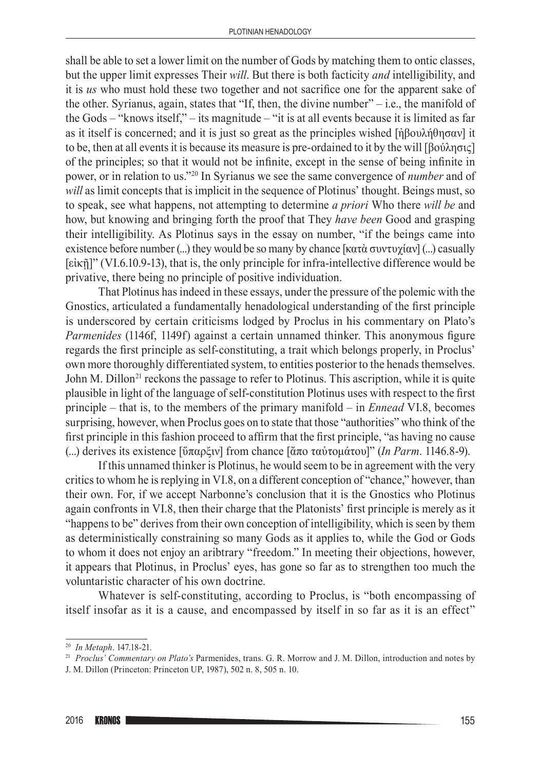shall be able to set a lower limit on the number of Gods by matching them to ontic classes, but the upper limit expresses Their *will*. But there is both facticity *and* intelligibility, and it is *us* who must hold these two together and not sacrifice one for the apparent sake of the other. Syrianus, again, states that "If, then, the divine number" $-$  i.e., the manifold of the Gods – "knows itself," – its magnitude – "it is at all events because it is limited as far as it itself is concerned; and it is just so great as the principles wished [ἠβουλήθησαν] it to be, then at all events it is because its measure is pre‑ordained to it by the will [βούλησις] of the principles; so that it would not be infinite, except in the sense of being infinite in power, or in relation to us."20 In Syrianus we see the same convergence of *number* and of *will* as limit concepts that is implicit in the sequence of Plotinus' thought. Beings must, so to speak, see what happens, not attempting to determine *a priori* Who there *will be* and how, but knowing and bringing forth the proof that They *have been* Good and grasping their intelligibility. As Plotinus says in the essay on number, "if the beings came into existence before number  $(...)$  they would be so many by chance [κατὰ συντυχίαν]  $(...)$  casually [εἰκῇ]" (VI.6.10.9-13), that is, the only principle for infra‑intellective difference would be privative, there being no principle of positive individuation.

That Plotinus has indeed in these essays, under the pressure of the polemic with the Gnostics, articulated a fundamentally henadological understanding of the first principle is underscored by certain criticisms lodged by Proclus in his commentary on Plato's *Parmenides* (1146f, 1149f) against a certain unnamed thinker. This anonymous figure regards the first principle as self‑constituting, a trait which belongs properly, in Proclus' own more thoroughly differentiated system, to entities posterior to the henads themselves. John M. Dillon<sup>21</sup> reckons the passage to refer to Plotinus. This ascription, while it is quite plausible in light of the language of self‑constitution Plotinus uses with respect to the first principle – that is, to the members of the primary manifold – in *Ennead* VI.8, becomes surprising, however, when Proclus goes on to state that those "authorities" who think of the first principle in this fashion proceed to affirm that the first principle, "as having no cause (...) derives its existence [ὕπαρξιν] from chance [ἄπο ταὐτομάτου]" (*In Parm*. 1146.8-9).

If this unnamed thinker is Plotinus, he would seem to be in agreement with the very critics to whom he is replying in VI.8, on a different conception of "chance," however, than their own. For, if we accept Narbonne's conclusion that it is the Gnostics who Plotinus again confronts in VI.8, then their charge that the Platonists' first principle is merely as it "happens to be" derives from their own conception of intelligibility, which is seen by them as deterministically constraining so many Gods as it applies to, while the God or Gods to whom it does not enjoy an aribtrary "freedom." In meeting their objections, however, it appears that Plotinus, in Proclus' eyes, has gone so far as to strengthen too much the voluntaristic character of his own doctrine.

Whatever is self-constituting, according to Proclus, is "both encompassing of itself insofar as it is a cause, and encompassed by itself in so far as it is an effect"

<sup>20</sup> *In Metaph*. 147.18-21.

<sup>21</sup> *Proclus' Commentary on Plato's* Parmenides, trans. G. R. Morrow and J. M. Dillon, introduction and notes by J. M. Dillon (Princeton: Princeton UP, 1987), 502 n. 8, 505 n. 10.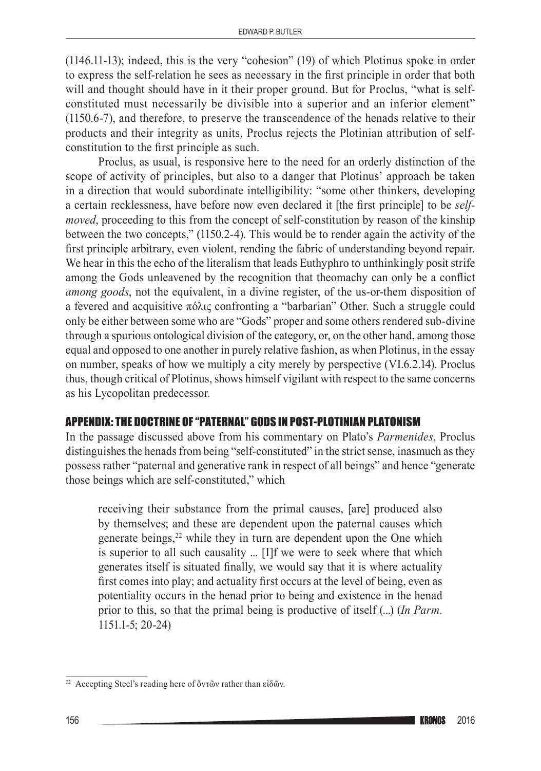(1146.11-13); indeed, this is the very "cohesion" (19) of which Plotinus spoke in order to express the self‑relation he sees as necessary in the first principle in order that both will and thought should have in it their proper ground. But for Proclus, "what is selfconstituted must necessarily be divisible into a superior and an inferior element" (1150.6-7), and therefore, to preserve the transcendence of the henads relative to their products and their integrity as units, Proclus rejects the Plotinian attribution of self‑ constitution to the first principle as such.

Proclus, as usual, is responsive here to the need for an orderly distinction of the scope of activity of principles, but also to a danger that Plotinus' approach be taken in a direction that would subordinate intelligibility: "some other thinkers, developing a certain recklessness, have before now even declared it [the first principle] to be *self‑ moved*, proceeding to this from the concept of self-constitution by reason of the kinship between the two concepts," (1150.2-4). This would be to render again the activity of the first principle arbitrary, even violent, rending the fabric of understanding beyond repair. We hear in this the echo of the literalism that leads Euthyphro to unthinkingly posit strife among the Gods unleavened by the recognition that theomachy can only be a conflict *among goods*, not the equivalent, in a divine register, of the us-or-them disposition of a fevered and acquisitive πόλις confronting a "barbarian" Other. Such a struggle could only be either between some who are "Gods" proper and some others rendered sub‑divine through a spurious ontological division of the category, or, on the other hand, among those equal and opposed to one another in purely relative fashion, as when Plotinus, in the essay on number, speaks of how we multiply a city merely by perspective (VI.6.2.14). Proclus thus, though critical of Plotinus, shows himself vigilant with respect to the same concerns as his Lycopolitan predecessor.

## APPENDIX: THE DOCTRINE OF "PATERNAL" GODS IN POST‑PLOTINIAN PLATONISM

In the passage discussed above from his commentary on Plato's *Parmenides*, Proclus distinguishes the henads from being "self-constituted" in the strict sense, inasmuch as they possess rather "paternal and generative rank in respect of all beings" and hence "generate those beings which are self-constituted," which

receiving their substance from the primal causes, [are] produced also by themselves; and these are dependent upon the paternal causes which generate beings,<sup>22</sup> while they in turn are dependent upon the One which is superior to all such causality ... [I]f we were to seek where that which generates itself is situated finally, we would say that it is where actuality first comes into play; and actuality first occurs at the level of being, even as potentiality occurs in the henad prior to being and existence in the henad prior to this, so that the primal being is productive of itself (...) (*In Parm*. 1151.1-5; 20-24)

<sup>&</sup>lt;sup>22</sup> Accepting Steel's reading here of ὄντῶν rather than εἰδῶν.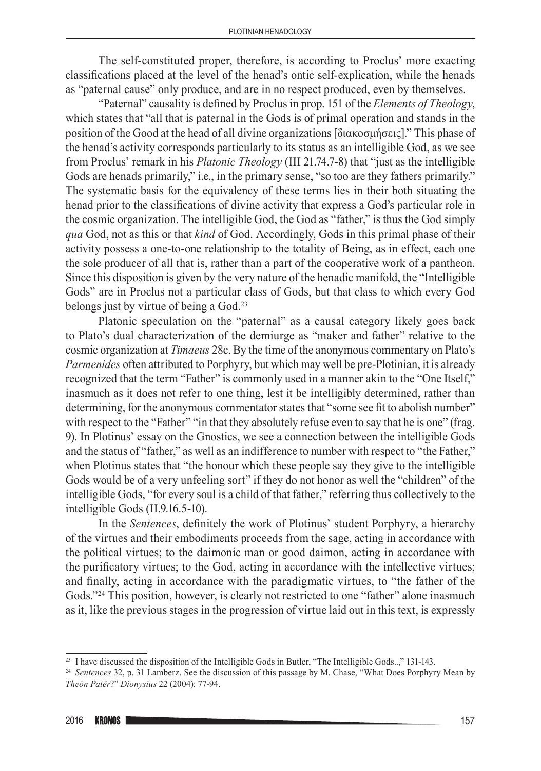The self-constituted proper, therefore, is according to Proclus' more exacting classifications placed at the level of the henad's ontic self‑explication, while the henads as "paternal cause" only produce, and are in no respect produced, even by themselves.

"Paternal" causality is defined by Proclus in prop. 151 of the *Elements of Theology*, which states that "all that is paternal in the Gods is of primal operation and stands in the position of the Good at the head of all divine organizations [διακοσμήσεις]." This phase of the henad's activity corresponds particularly to its status as an intelligible God, as we see from Proclus' remark in his *Platonic Theology* (III 21.74.7-8) that "just as the intelligible Gods are henads primarily," i.e., in the primary sense, "so too are they fathers primarily." The systematic basis for the equivalency of these terms lies in their both situating the henad prior to the classifications of divine activity that express a God's particular role in the cosmic organization. The intelligible God, the God as "father," is thus the God simply *qua* God, not as this or that *kind* of God. Accordingly, Gods in this primal phase of their activity possess a one-to-one relationship to the totality of Being, as in effect, each one the sole producer of all that is, rather than a part of the cooperative work of a pantheon. Since this disposition is given by the very nature of the henadic manifold, the "Intelligible Gods" are in Proclus not a particular class of Gods, but that class to which every God belongs just by virtue of being a God.23

Platonic speculation on the "paternal" as a causal category likely goes back to Plato's dual characterization of the demiurge as "maker and father" relative to the cosmic organization at *Timaeus* 28c. By the time of the anonymous commentary on Plato's *Parmenides* often attributed to Porphyry, but which may well be pre-Plotinian, it is already recognized that the term "Father" is commonly used in a manner akin to the "One Itself," inasmuch as it does not refer to one thing, lest it be intelligibly determined, rather than determining, for the anonymous commentator states that "some see fit to abolish number" with respect to the "Father" "in that they absolutely refuse even to say that he is one" (frag. 9). In Plotinus' essay on the Gnostics, we see a connection between the intelligible Gods and the status of "father," as well as an indifference to number with respect to "the Father," when Plotinus states that "the honour which these people say they give to the intelligible Gods would be of a very unfeeling sort" if they do not honor as well the "children" of the intelligible Gods, "for every soul is a child of that father," referring thus collectively to the intelligible Gods (II.9.16.5-10).

In the *Sentences*, definitely the work of Plotinus' student Porphyry, a hierarchy of the virtues and their embodiments proceeds from the sage, acting in accordance with the political virtues; to the daimonic man or good daimon, acting in accordance with the purificatory virtues; to the God, acting in accordance with the intellective virtues; and finally, acting in accordance with the paradigmatic virtues, to "the father of the Gods."<sup>24</sup> This position, however, is clearly not restricted to one "father" alone inasmuch as it, like the previous stages in the progression of virtue laid out in this text, is expressly

<sup>&</sup>lt;sup>23</sup> I have discussed the disposition of the Intelligible Gods in Butler, "The Intelligible Gods..," 131-143.

<sup>24</sup> *Sentences* 32, p. 31 Lamberz. See the discussion of this passage by M. Chase, "What Does Porphyry Mean by *Theôn Patêr*?" *Dionysius* 22 (2004): 77-94.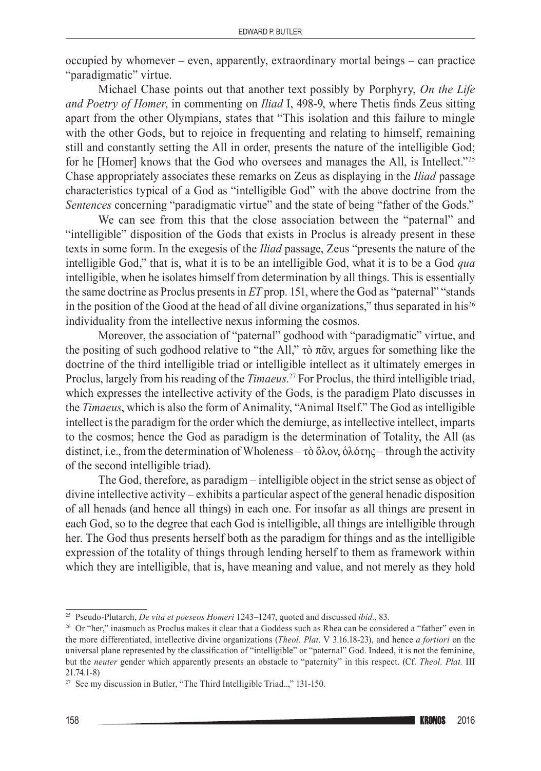occupied by whomever – even, apparently, extraordinary mortal beings – can practice "paradigmatic" virtue.

Michael Chase points out that another text possibly by Porphyry, *On the Life and Poetry of Homer*, in commenting on *Iliad* I, 498-9, where Thetis finds Zeus sitting apart from the other Olympians, states that "This isolation and this failure to mingle with the other Gods, but to rejoice in frequenting and relating to himself, remaining still and constantly setting the All in order, presents the nature of the intelligible God; for he [Homer] knows that the God who oversees and manages the All, is Intellect."<sup>25</sup> Chase appropriately associates these remarks on Zeus as displaying in the *Iliad* passage characteristics typical of a God as "intelligible God" with the above doctrine from the *Sentences* concerning "paradigmatic virtue" and the state of being "father of the Gods."

We can see from this that the close association between the "paternal" and "intelligible" disposition of the Gods that exists in Proclus is already present in these texts in some form. In the exegesis of the *Iliad* passage, Zeus "presents the nature of the intelligible God," that is, what it is to be an intelligible God, what it is to be a God *qua* intelligible, when he isolates himself from determination by all things. This is essentially the same doctrine as Proclus presents in *ET* prop. 151, where the God as "paternal" "stands in the position of the Good at the head of all divine organizations," thus separated in his<sup>26</sup> individuality from the intellective nexus informing the cosmos.

Moreover, the association of "paternal" godhood with "paradigmatic" virtue, and the positing of such godhood relative to "the All," τὸ πᾶν, argues for something like the doctrine of the third intelligible triad or intelligible intellect as it ultimately emerges in Proclus, largely from his reading of the *Timaeus*. <sup>27</sup> For Proclus, the third intelligible triad, which expresses the intellective activity of the Gods, is the paradigm Plato discusses in the *Timaeus*, which is also the form of Animality, "Animal Itself." The God as intelligible intellect is the paradigm for the order which the demiurge, as intellective intellect, imparts to the cosmos; hence the God as paradigm is the determination of Totality, the All (as distinct, i.e., from the determination of Wholeness – τὸ ὅλον, ὁλότης – through the activity of the second intelligible triad).

The God, therefore, as paradigm – intelligible object in the strict sense as object of divine intellective activity – exhibits a particular aspect of the general henadic disposition of all henads (and hence all things) in each one. For insofar as all things are present in each God, so to the degree that each God is intelligible, all things are intelligible through her. The God thus presents herself both as the paradigm for things and as the intelligible expression of the totality of things through lending herself to them as framework within which they are intelligible, that is, have meaning and value, and not merely as they hold

<sup>25</sup> Pseudo‑Plutarch, *De vita et poeseos Homeri* 1243–1247, quoted and discussed *ibid.*, 83.

<sup>&</sup>lt;sup>26</sup> Or "her," inasmuch as Proclus makes it clear that a Goddess such as Rhea can be considered a "father" even in the more differentiated, intellective divine organizations (*Theol. Plat*. V 3.16.18-23), and hence *a fortiori* on the universal plane represented by the classification of "intelligible" or "paternal" God. Indeed, it is not the feminine, but the *neuter* gender which apparently presents an obstacle to "paternity" in this respect. (Cf. *Theol. Plat.* III 21.74.1-8) 27 See my discussion in Butler, "The Third Intelligible Triad..," 131-150.